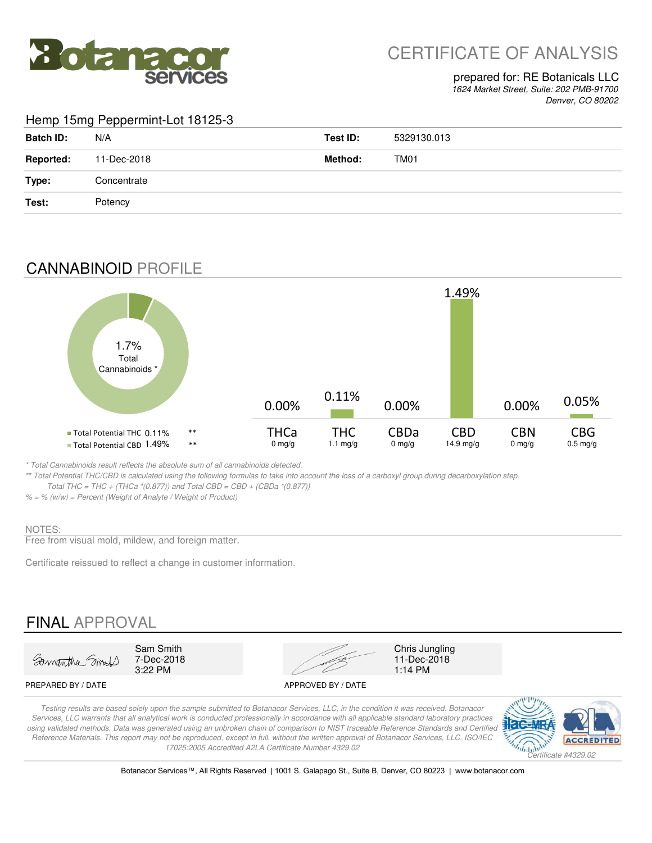

# CERTIFICATE OF ANALYSIS

### prepared for: RE Botanicals LLC

*1624 Market Street, Suite: 202 PMB-91700 Denver, CO 80202*

### Hemp 15mg Peppermint-Lot 18125-3

| <b>Batch ID:</b> | N/A         | Test ID: | 5329130.013 |
|------------------|-------------|----------|-------------|
| <b>Reported:</b> | 11-Dec-2018 | Method:  | TM01        |
| Type:            | Concentrate |          |             |
| Test:            | Potency     |          |             |

## CANNABINOID PROFILE



*\* Total Cannabinoids result reflects the absolute sum of all cannabinoids detected.*

*\*\* Total Potential THC/CBD is calculated using the following formulas to take into account the loss of a carboxyl group during decarboxylation step. Total THC = THC + (THCa \*(0.877)) and Total CBD = CBD + (CBDa \*(0.877))*

*% = % (w/w) = Percent (Weight of Analyte / Weight of Product)*

#### NOTES:

Free from visual mold, mildew, and foreign matter.

Certificate reissued to reflect a change in customer information.

### FINAL APPROVAL



7-Dec-2018<br>3:22 PM



11-Dec-2018<br>1:14 PM

#### PREPARED BY / DATE APPROVED BY / DATE

*Testing results are based solely upon the sample submitted to Botanacor Services, LLC, in the condition it was received. Botanacor Services, LLC warrants that all analytical work is conducted professionally in accordance with all applicable standard laboratory practices*  using validated methods. Data was generated using an unbroken chain of comparison to NIST traceable Reference Standards and Certified *Reference Materials. This report may not be reproduced, except in full, without the written approval of Botanacor Services, LLC. ISO/IEC 17025:2005 Accredited A2LA Certificate Number 4329.02*



Botanacor Services™, All Rights Reserved | 1001 S. Galapago St., Suite B, Denver, CO 80223 | www.botanacor.com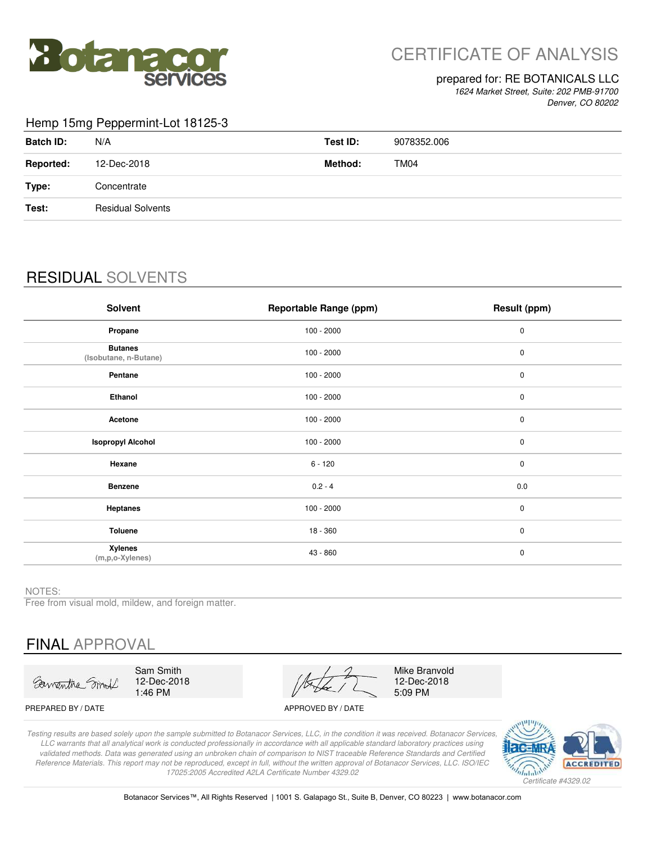

# CERTIFICATE OF ANALYSIS

#### prepared for: RE BOTANICALS LLC

*1624 Market Street, Suite: 202 PMB-91700 Denver, CO 80202*

#### Hemp 15mg Peppermint-Lot 18125-3

| <b>Batch ID:</b> | N/A                      | Test ID: | 9078352.006 |
|------------------|--------------------------|----------|-------------|
| <b>Reported:</b> | 12-Dec-2018              | Method:  | <b>TM04</b> |
| Type:            | Concentrate              |          |             |
| Test:            | <b>Residual Solvents</b> |          |             |
|                  |                          |          |             |

# RESIDUAL SOLVENTS

| <b>Solvent</b>                          | <b>Reportable Range (ppm)</b> | Result (ppm) |
|-----------------------------------------|-------------------------------|--------------|
| Propane                                 | $100 - 2000$                  | $\mathbf 0$  |
| <b>Butanes</b><br>(Isobutane, n-Butane) | $100 - 2000$                  | $\pmb{0}$    |
| Pentane                                 | $100 - 2000$                  | $\pmb{0}$    |
| Ethanol                                 | $100 - 2000$                  | 0            |
| Acetone                                 | $100 - 2000$                  | $\mathbf 0$  |
| <b>Isopropyl Alcohol</b>                | $100 - 2000$                  | $\pmb{0}$    |
| Hexane                                  | $6 - 120$                     | $\mathbf 0$  |
| <b>Benzene</b>                          | $0.2 - 4$                     | 0.0          |
| Heptanes                                | $100 - 2000$                  | $\pmb{0}$    |
| Toluene                                 | $18 - 360$                    | $\mathbf 0$  |
| <b>Xylenes</b><br>(m,p,o-Xylenes)       | 43 - 860                      | $\pmb{0}$    |

NOTES:

Free from visual mold, mildew, and foreign matter.

# FINAL APPROVAL

Sawantha Smit

Sam Smith 12-Dec-2018 1:46 PM

Mike Branvold 12-Dec-2018 5:09 PM

PREPARED BY / DATE APPROVED BY / DATE

*Testing results are based solely upon the sample submitted to Botanacor Services, LLC, in the condition it was received. Botanacor Services, LLC warrants that all analytical work is conducted professionally in accordance with all applicable standard laboratory practices using validated methods. Data was generated using an unbroken chain of comparison to NIST traceable Reference Standards and Certified Reference Materials. This report may not be reproduced, except in full, without the written approval of Botanacor Services, LLC. ISO/IEC 17025:2005 Accredited A2LA Certificate Number 4329.02*



Botanacor Services™, All Rights Reserved | 1001 S. Galapago St., Suite B, Denver, CO 80223 | www.botanacor.com